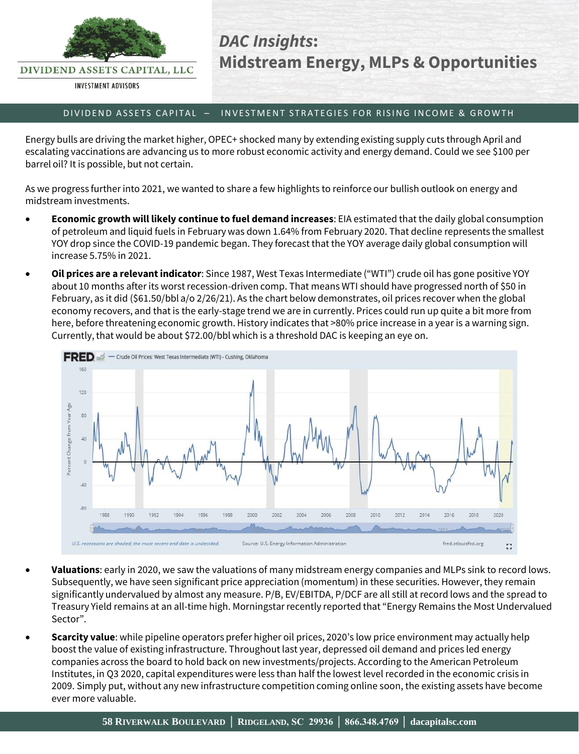

DIVIDEND ASSETS CAPITAL, LLC

**INVESTMENT ADVISORS** 

## *DAC Insights***: Midstream Energy, MLPs & Opportunities**

## D IV IDEND ASSETS CAPITAL – INVESTMENT STRATEGIES FOR RISING INCOME & GROWTH

Energy bulls are driving the market higher, OPEC+ shocked many by extending existing supply cuts through April and escalating vaccinations are advancing us to more robust economic activity and energy demand. Could we see \$100 per barrel oil? It is possible, but not certain.

As we progress further into 2021, we wanted to share a few highlights to reinforce our bullish outlook on energy and midstream investments.

- **Economic growth will likely continue to fuel demand increases**: EIA estimated that the daily global consumption of petroleum and liquid fuels in February was down 1.64% from February 2020. That decline represents the smallest YOY drop since the COVID-19 pandemic began. They forecast that the YOY average daily global consumption will increase 5.75% in 2021.
- **Oil prices are a relevant indicator**: Since 1987, West Texas Intermediate ("WTI") crude oil has gone positive YOY about 10 months after its worst recession-driven comp. That means WTI should have progressed north of \$50 in February, as it did (\$61.50/bbl a/o 2/26/21). As the chart below demonstrates, oil prices recover when the global economy recovers, and that is the early-stage trend we are in currently. Prices could run up quite a bit more from here, before threatening economic growth. History indicates that >80% price increase in a year is a warning sign. Currently, that would be about \$72.00/bbl which is a threshold DAC is keeping an eye on.



- **Valuations**: early in 2020, we saw the valuations of many midstream energy companies and MLPs sink to record lows. Subsequently, we have seen significant price appreciation (momentum) in these securities. However, they remain significantly undervalued by almost any measure. P/B, EV/EBITDA, P/DCF are all still at record lows and the spread to Treasury Yield remains at an all-time high. Morningstar recently reported that "Energy Remains the Most Undervalued Sector".
- **Scarcity value**: while pipeline operators prefer higher oil prices, 2020's low price environment may actually help boost the value of existing infrastructure. Throughout last year, depressed oil demand and prices led energy companies across the board to hold back on new investments/projects. According to the American Petroleum Institutes, in Q3 2020, capital expenditures were less than half the lowest level recorded in the economic crisis in 2009. Simply put, without any new infrastructure competition coming online soon, the existing assets have become ever more valuable.